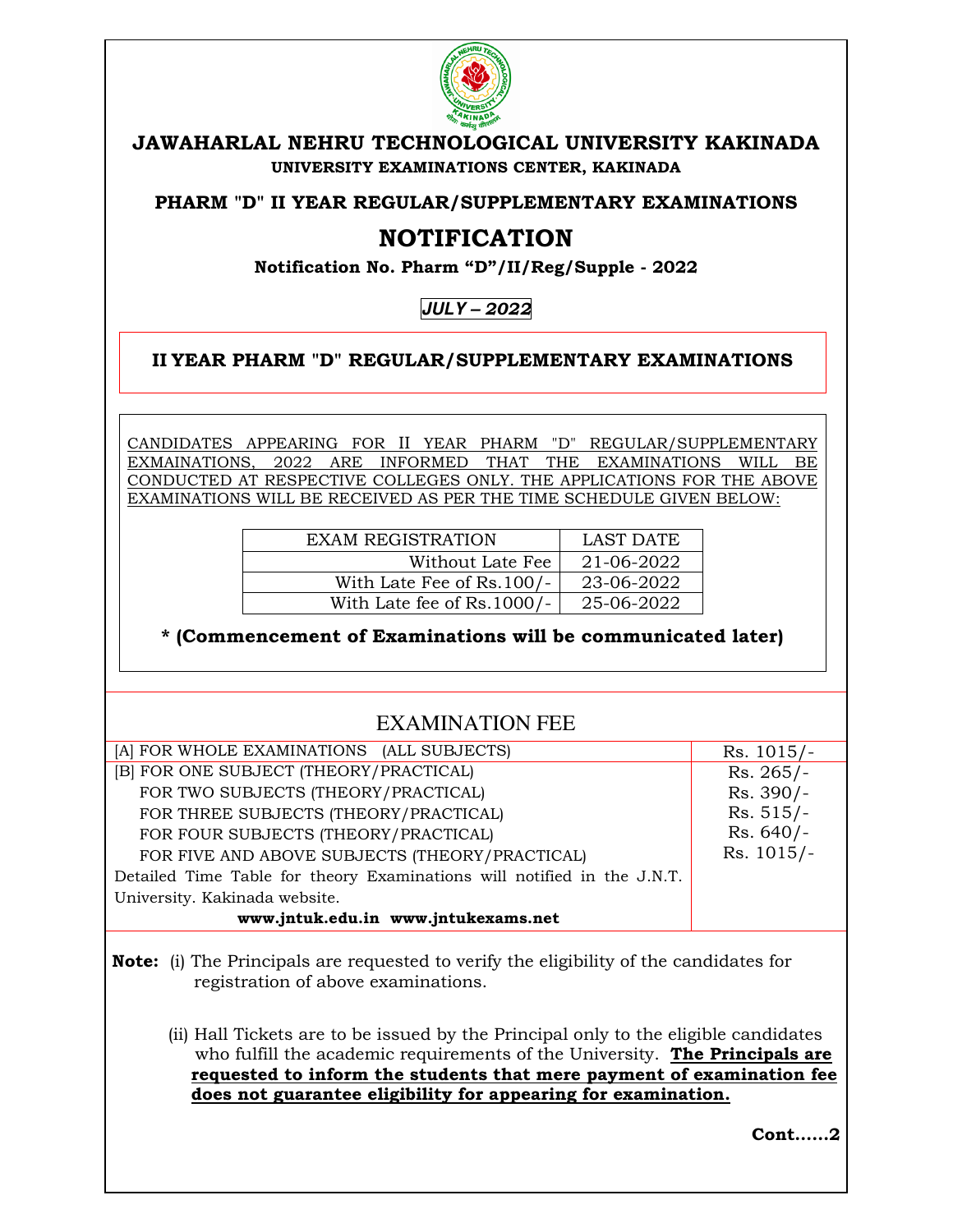

## **JAWAHARLAL NEHRU TECHNOLOGICAL UNIVERSITY KAKINADA UNIVERSITY EXAMINATIONS CENTER, KAKINADA**

**PHARM "D" II YEAR REGULAR/SUPPLEMENTARY EXAMINATIONS** 

## **NOTIFICATION**

**Notification No. Pharm "D"/II/Reg/Supple - 2022** 

**JULY –** *2022* 

**II YEAR PHARM "D" REGULAR/SUPPLEMENTARY EXAMINATIONS** 

CANDIDATES APPEARING FOR II YEAR PHARM "D" REGULAR/SUPPLEMENTARY EXMAINATIONS, 2022 ARE INFORMED THAT THE EXAMINATIONS WILL BE CONDUCTED AT RESPECTIVE COLLEGES ONLY. THE APPLICATIONS FOR THE ABOVE EXAMINATIONS WILL BE RECEIVED AS PER THE TIME SCHEDULE GIVEN BELOW:

| <b>EXAM REGISTRATION</b>   | LAST DATE  |
|----------------------------|------------|
| Without Late Fee           | 21-06-2022 |
| With Late Fee of Rs.100/-  | 23-06-2022 |
| With Late fee of Rs.1000/- | 25-06-2022 |

**\* (Commencement of Examinations will be communicated later)**

## EXAMINATION FEE

| [A] FOR WHOLE EXAMINATIONS (ALL SUBJECTS)                               | $Rs. 1015/-$ |
|-------------------------------------------------------------------------|--------------|
| [B] FOR ONE SUBJECT (THEORY/PRACTICAL)                                  | $Rs. 265/-$  |
| FOR TWO SUBJECTS (THEORY/PRACTICAL)                                     | Rs. 390/-    |
| FOR THREE SUBJECTS (THEORY/PRACTICAL)                                   | $Rs. 515/-$  |
| FOR FOUR SUBJECTS (THEORY/PRACTICAL)                                    | $Rs. 640/-$  |
| FOR FIVE AND ABOVE SUBJECTS (THEORY/PRACTICAL)                          | $Rs. 1015/-$ |
| Detailed Time Table for theory Examinations will notified in the J.N.T. |              |
| University. Kakinada website.                                           |              |
| www.jntuk.edu.in www.jntukexams.net                                     |              |

**Note:** (i) The Principals are requested to verify the eligibility of the candidates for registration of above examinations.

(ii) Hall Tickets are to be issued by the Principal only to the eligible candidates who fulfill the academic requirements of the University. **The Principals are requested to inform the students that mere payment of examination fee does not guarantee eligibility for appearing for examination.** 

**Cont……2**